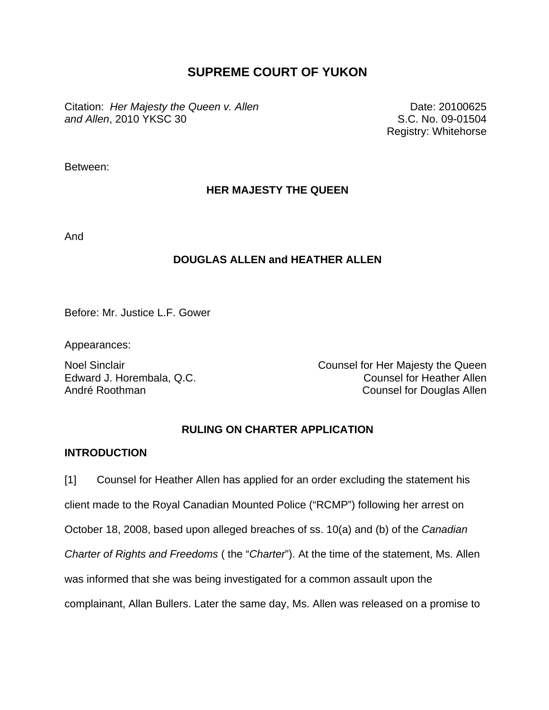# **SUPREME COURT OF YUKON**

Citation: *Her Majesty the Queen v. Allen and Allen*, 2010 YKSC 30

Date: 20100625 S.C. No. 09-01504 Registry: Whitehorse

Between:

## **HER MAJESTY THE QUEEN**

And

## **DOUGLAS ALLEN and HEATHER ALLEN**

Before: Mr. Justice L.F. Gower

Appearances:

Noel Sinclair **Noel Sinclair** Counsel for Her Majesty the Queen Edward J. Horembala, Q.C. Counsel for Heather Allen André Roothman Counsel for Douglas Allen

## **RULING ON CHARTER APPLICATION**

### **INTRODUCTION**

[1] Counsel for Heather Allen has applied for an order excluding the statement his client made to the Royal Canadian Mounted Police ("RCMP") following her arrest on October 18, 2008, based upon alleged breaches of ss. 10(a) and (b) of the *Canadian Charter of Rights and Freedoms* ( the "*Charter*"). At the time of the statement, Ms. Allen was informed that she was being investigated for a common assault upon the complainant, Allan Bullers. Later the same day, Ms. Allen was released on a promise to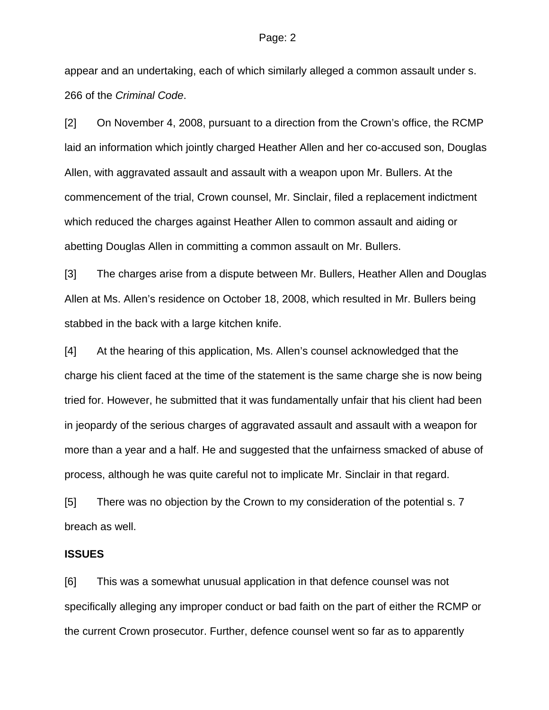appear and an undertaking, each of which similarly alleged a common assault under s. 266 of the *Criminal Code*.

[2] On November 4, 2008, pursuant to a direction from the Crown's office, the RCMP laid an information which jointly charged Heather Allen and her co-accused son, Douglas Allen, with aggravated assault and assault with a weapon upon Mr. Bullers. At the commencement of the trial, Crown counsel, Mr. Sinclair, filed a replacement indictment which reduced the charges against Heather Allen to common assault and aiding or abetting Douglas Allen in committing a common assault on Mr. Bullers.

[3] The charges arise from a dispute between Mr. Bullers, Heather Allen and Douglas Allen at Ms. Allen's residence on October 18, 2008, which resulted in Mr. Bullers being stabbed in the back with a large kitchen knife.

[4] At the hearing of this application, Ms. Allen's counsel acknowledged that the charge his client faced at the time of the statement is the same charge she is now being tried for. However, he submitted that it was fundamentally unfair that his client had been in jeopardy of the serious charges of aggravated assault and assault with a weapon for more than a year and a half. He and suggested that the unfairness smacked of abuse of process, although he was quite careful not to implicate Mr. Sinclair in that regard.

[5] There was no objection by the Crown to my consideration of the potential s. 7 breach as well.

## **ISSUES**

[6] This was a somewhat unusual application in that defence counsel was not specifically alleging any improper conduct or bad faith on the part of either the RCMP or the current Crown prosecutor. Further, defence counsel went so far as to apparently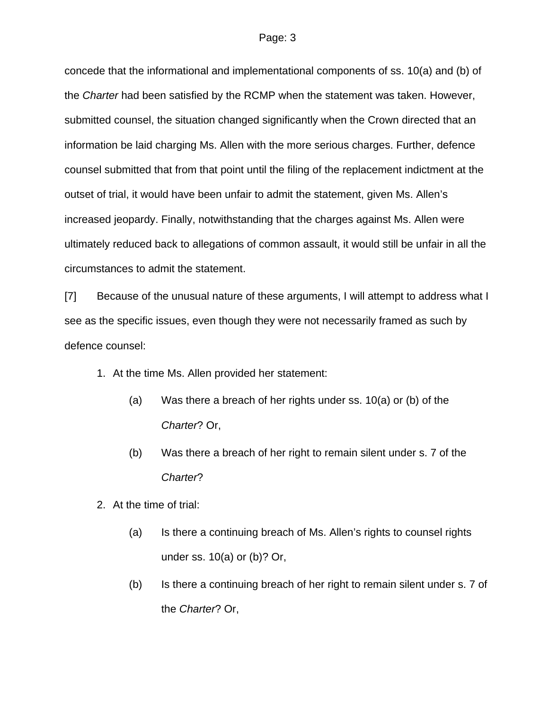concede that the informational and implementational components of ss. 10(a) and (b) of the *Charter* had been satisfied by the RCMP when the statement was taken. However, submitted counsel, the situation changed significantly when the Crown directed that an information be laid charging Ms. Allen with the more serious charges. Further, defence counsel submitted that from that point until the filing of the replacement indictment at the outset of trial, it would have been unfair to admit the statement, given Ms. Allen's increased jeopardy. Finally, notwithstanding that the charges against Ms. Allen were ultimately reduced back to allegations of common assault, it would still be unfair in all the circumstances to admit the statement.

[7] Because of the unusual nature of these arguments, I will attempt to address what I see as the specific issues, even though they were not necessarily framed as such by defence counsel:

- 1. At the time Ms. Allen provided her statement:
	- (a) Was there a breach of her rights under ss. 10(a) or (b) of the *Charter*? Or,
	- (b) Was there a breach of her right to remain silent under s. 7 of the *Charter*?
- 2. At the time of trial:
	- (a) Is there a continuing breach of Ms. Allen's rights to counsel rights under ss. 10(a) or (b)? Or,
	- (b) Is there a continuing breach of her right to remain silent under s. 7 of the *Charter*? Or,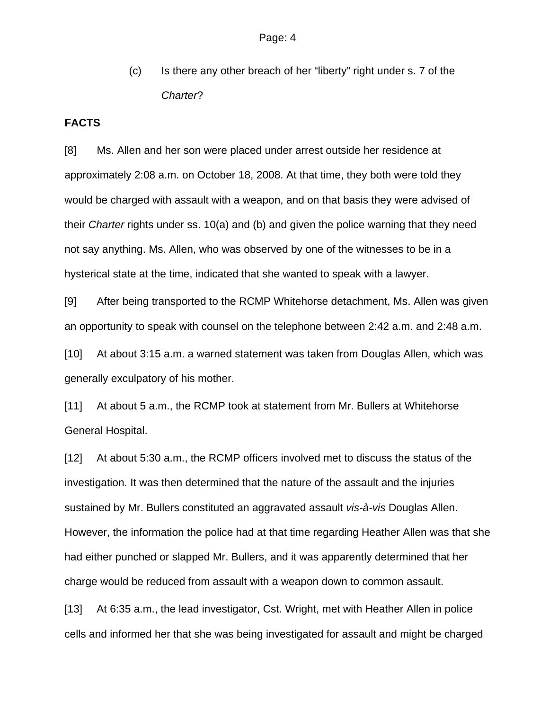(c) Is there any other breach of her "liberty" right under s. 7 of the *Charter*?

#### **FACTS**

[8] Ms. Allen and her son were placed under arrest outside her residence at approximately 2:08 a.m. on October 18, 2008. At that time, they both were told they would be charged with assault with a weapon, and on that basis they were advised of their *Charter* rights under ss. 10(a) and (b) and given the police warning that they need not say anything. Ms. Allen, who was observed by one of the witnesses to be in a hysterical state at the time, indicated that she wanted to speak with a lawyer.

[9] After being transported to the RCMP Whitehorse detachment, Ms. Allen was given an opportunity to speak with counsel on the telephone between 2:42 a.m. and 2:48 a.m.

[10] At about 3:15 a.m. a warned statement was taken from Douglas Allen, which was generally exculpatory of his mother.

[11] At about 5 a.m., the RCMP took at statement from Mr. Bullers at Whitehorse General Hospital.

[12] At about 5:30 a.m., the RCMP officers involved met to discuss the status of the investigation. It was then determined that the nature of the assault and the injuries sustained by Mr. Bullers constituted an aggravated assault *vis-à-vis* Douglas Allen. However, the information the police had at that time regarding Heather Allen was that she had either punched or slapped Mr. Bullers, and it was apparently determined that her charge would be reduced from assault with a weapon down to common assault.

[13] At 6:35 a.m., the lead investigator, Cst. Wright, met with Heather Allen in police cells and informed her that she was being investigated for assault and might be charged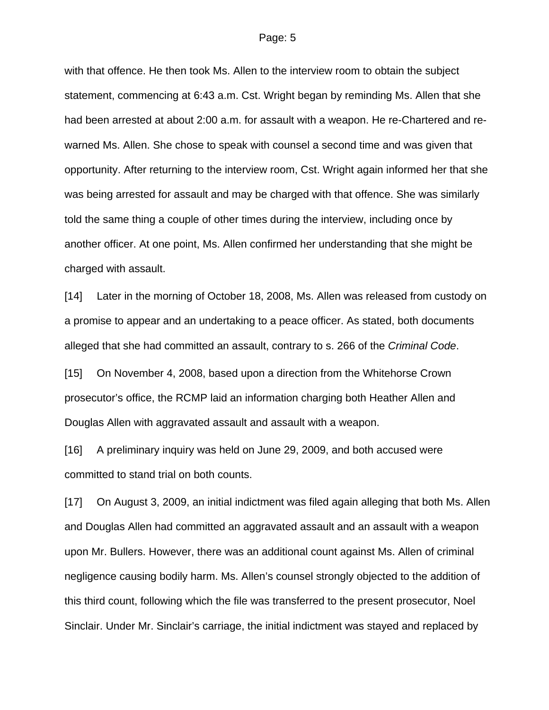with that offence. He then took Ms. Allen to the interview room to obtain the subject statement, commencing at 6:43 a.m. Cst. Wright began by reminding Ms. Allen that she had been arrested at about 2:00 a.m. for assault with a weapon. He re-Chartered and rewarned Ms. Allen. She chose to speak with counsel a second time and was given that opportunity. After returning to the interview room, Cst. Wright again informed her that she was being arrested for assault and may be charged with that offence. She was similarly told the same thing a couple of other times during the interview, including once by another officer. At one point, Ms. Allen confirmed her understanding that she might be charged with assault.

[14] Later in the morning of October 18, 2008, Ms. Allen was released from custody on a promise to appear and an undertaking to a peace officer. As stated, both documents alleged that she had committed an assault, contrary to s. 266 of the *Criminal Code*.

[15] On November 4, 2008, based upon a direction from the Whitehorse Crown prosecutor's office, the RCMP laid an information charging both Heather Allen and Douglas Allen with aggravated assault and assault with a weapon.

[16] A preliminary inquiry was held on June 29, 2009, and both accused were committed to stand trial on both counts.

[17] On August 3, 2009, an initial indictment was filed again alleging that both Ms. Allen and Douglas Allen had committed an aggravated assault and an assault with a weapon upon Mr. Bullers. However, there was an additional count against Ms. Allen of criminal negligence causing bodily harm. Ms. Allen's counsel strongly objected to the addition of this third count, following which the file was transferred to the present prosecutor, Noel Sinclair. Under Mr. Sinclair's carriage, the initial indictment was stayed and replaced by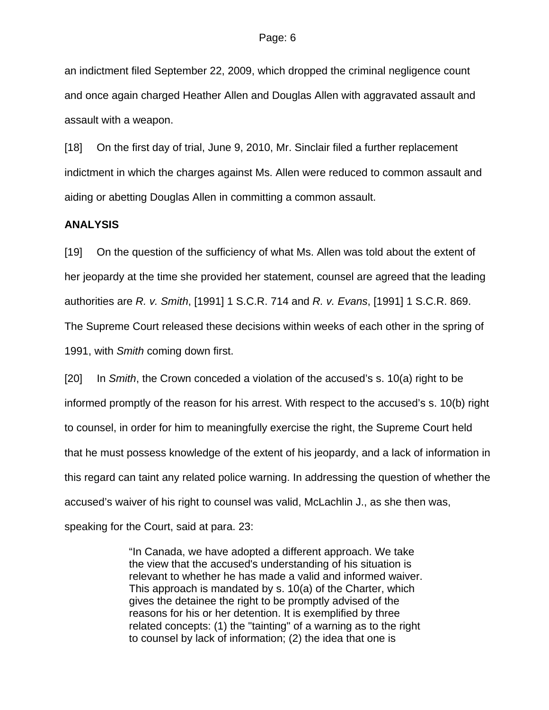an indictment filed September 22, 2009, which dropped the criminal negligence count and once again charged Heather Allen and Douglas Allen with aggravated assault and assault with a weapon.

[18] On the first day of trial, June 9, 2010, Mr. Sinclair filed a further replacement indictment in which the charges against Ms. Allen were reduced to common assault and aiding or abetting Douglas Allen in committing a common assault.

#### **ANALYSIS**

[19] On the question of the sufficiency of what Ms. Allen was told about the extent of her jeopardy at the time she provided her statement, counsel are agreed that the leading authorities are *R. v. Smith*, [1991] 1 S.C.R. 714 and *R. v. Evans*, [1991] 1 S.C.R. 869. The Supreme Court released these decisions within weeks of each other in the spring of 1991, with *Smith* coming down first.

[20] In *Smith*, the Crown conceded a violation of the accused's s. 10(a) right to be informed promptly of the reason for his arrest. With respect to the accused's s. 10(b) right to counsel, in order for him to meaningfully exercise the right, the Supreme Court held that he must possess knowledge of the extent of his jeopardy, and a lack of information in this regard can taint any related police warning. In addressing the question of whether the accused's waiver of his right to counsel was valid, McLachlin J., as she then was, speaking for the Court, said at para. 23:

> "In Canada, we have adopted a different approach. We take the view that the accused's understanding of his situation is relevant to whether he has made a valid and informed waiver. This approach is mandated by s. 10(a) of the Charter, which gives the detainee the right to be promptly advised of the reasons for his or her detention. It is exemplified by three related concepts: (1) the "tainting" of a warning as to the right to counsel by lack of information; (2) the idea that one is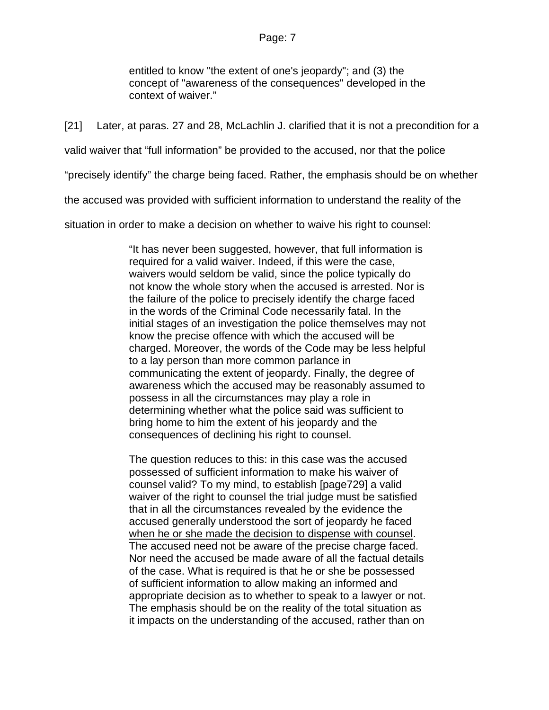entitled to know "the extent of one's jeopardy"; and (3) the concept of "awareness of the consequences" developed in the context of waiver."

[21] Later, at paras. 27 and 28, McLachlin J. clarified that it is not a precondition for a

valid waiver that "full information" be provided to the accused, nor that the police

"precisely identify" the charge being faced. Rather, the emphasis should be on whether

the accused was provided with sufficient information to understand the reality of the

situation in order to make a decision on whether to waive his right to counsel:

"It has never been suggested, however, that full information is required for a valid waiver. Indeed, if this were the case, waivers would seldom be valid, since the police typically do not know the whole story when the accused is arrested. Nor is the failure of the police to precisely identify the charge faced in the words of the Criminal Code necessarily fatal. In the initial stages of an investigation the police themselves may not know the precise offence with which the accused will be charged. Moreover, the words of the Code may be less helpful to a lay person than more common parlance in communicating the extent of jeopardy. Finally, the degree of awareness which the accused may be reasonably assumed to possess in all the circumstances may play a role in determining whether what the police said was sufficient to bring home to him the extent of his jeopardy and the consequences of declining his right to counsel.

The question reduces to this: in this case was the accused possessed of sufficient information to make his waiver of counsel valid? To my mind, to establish [page729] a valid waiver of the right to counsel the trial judge must be satisfied that in all the circumstances revealed by the evidence the accused generally understood the sort of jeopardy he faced when he or she made the decision to dispense with counsel. The accused need not be aware of the precise charge faced. Nor need the accused be made aware of all the factual details of the case. What is required is that he or she be possessed of sufficient information to allow making an informed and appropriate decision as to whether to speak to a lawyer or not. The emphasis should be on the reality of the total situation as it impacts on the understanding of the accused, rather than on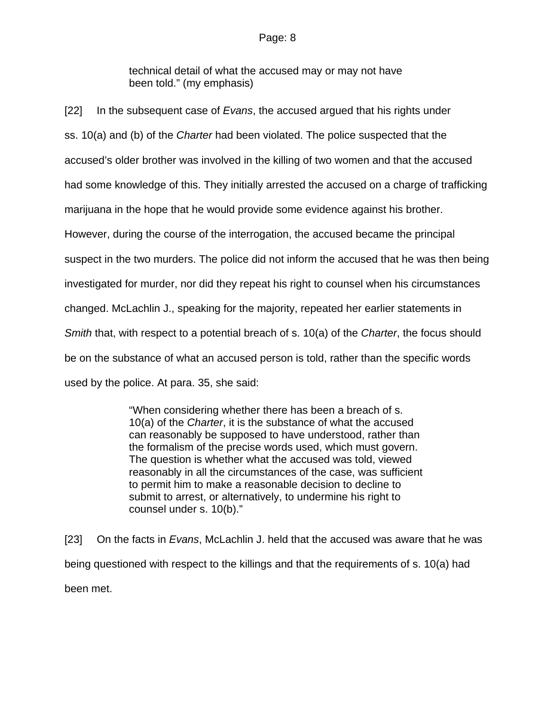technical detail of what the accused may or may not have been told." (my emphasis)

[22] In the subsequent case of *Evans*, the accused argued that his rights under ss. 10(a) and (b) of the *Charter* had been violated. The police suspected that the accused's older brother was involved in the killing of two women and that the accused had some knowledge of this. They initially arrested the accused on a charge of trafficking marijuana in the hope that he would provide some evidence against his brother. However, during the course of the interrogation, the accused became the principal suspect in the two murders. The police did not inform the accused that he was then being investigated for murder, nor did they repeat his right to counsel when his circumstances changed. McLachlin J., speaking for the majority, repeated her earlier statements in *Smith* that, with respect to a potential breach of s. 10(a) of the *Charter*, the focus should be on the substance of what an accused person is told, rather than the specific words used by the police. At para. 35, she said:

> "When considering whether there has been a breach of s. 10(a) of the *Charter*, it is the substance of what the accused can reasonably be supposed to have understood, rather than the formalism of the precise words used, which must govern. The question is whether what the accused was told, viewed reasonably in all the circumstances of the case, was sufficient to permit him to make a reasonable decision to decline to submit to arrest, or alternatively, to undermine his right to counsel under s. 10(b)."

[23] On the facts in *Evans*, McLachlin J. held that the accused was aware that he was being questioned with respect to the killings and that the requirements of s. 10(a) had been met.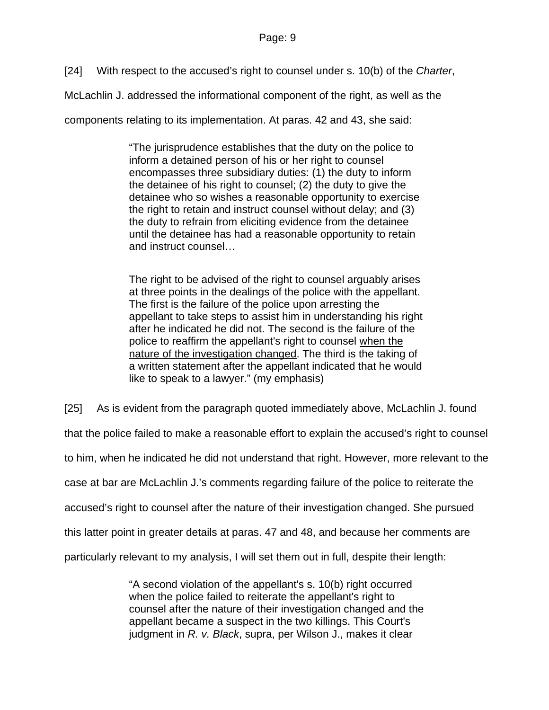[24] With respect to the accused's right to counsel under s. 10(b) of the *Charter*,

McLachlin J. addressed the informational component of the right, as well as the

components relating to its implementation. At paras. 42 and 43, she said:

"The jurisprudence establishes that the duty on the police to inform a detained person of his or her right to counsel encompasses three subsidiary duties: (1) the duty to inform the detainee of his right to counsel; (2) the duty to give the detainee who so wishes a reasonable opportunity to exercise the right to retain and instruct counsel without delay; and (3) the duty to refrain from eliciting evidence from the detainee until the detainee has had a reasonable opportunity to retain and instruct counsel…

The right to be advised of the right to counsel arguably arises at three points in the dealings of the police with the appellant. The first is the failure of the police upon arresting the appellant to take steps to assist him in understanding his right after he indicated he did not. The second is the failure of the police to reaffirm the appellant's right to counsel when the nature of the investigation changed. The third is the taking of a written statement after the appellant indicated that he would like to speak to a lawyer." (my emphasis)

[25] As is evident from the paragraph quoted immediately above, McLachlin J. found

that the police failed to make a reasonable effort to explain the accused's right to counsel

to him, when he indicated he did not understand that right. However, more relevant to the

case at bar are McLachlin J.'s comments regarding failure of the police to reiterate the

accused's right to counsel after the nature of their investigation changed. She pursued

this latter point in greater details at paras. 47 and 48, and because her comments are

particularly relevant to my analysis, I will set them out in full, despite their length:

"A second violation of the appellant's s. 10(b) right occurred when the police failed to reiterate the appellant's right to counsel after the nature of their investigation changed and the appellant became a suspect in the two killings. This Court's judgment in *R. v. Black*, supra, per Wilson J., makes it clear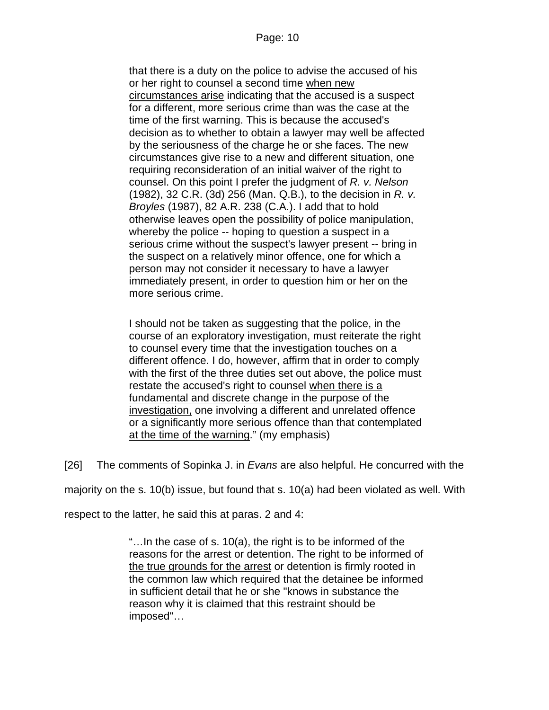that there is a duty on the police to advise the accused of his or her right to counsel a second time when new circumstances arise indicating that the accused is a suspect for a different, more serious crime than was the case at the time of the first warning. This is because the accused's decision as to whether to obtain a lawyer may well be affected by the seriousness of the charge he or she faces. The new circumstances give rise to a new and different situation, one requiring reconsideration of an initial waiver of the right to counsel. On this point I prefer the judgment of *R. v. Nelson* [\(1982\), 32 C.R. \(3d\) 256](http://www.lexisnexis.com/ca/legal/search/runRemoteLink.do?langcountry=CA&linkInfo=F%23CA%23CR3%23decisiondate%251982%25sel2%2532%25year%251982%25page%25256%25sel1%251982%25vol%2532%25&risb=21_T9575664413&bct=A&service=citation&A=0.33726404142842625) (Man. Q.B.), to the decision in *R. v. Broyles* [\(1987\), 82 A.R. 238](http://www.lexisnexis.com/ca/legal/search/runRemoteLink.do?langcountry=CA&linkInfo=F%23CA%23AR%23decisiondate%251987%25sel2%2582%25year%251987%25page%25238%25sel1%251987%25vol%2582%25&risb=21_T9575664413&bct=A&service=citation&A=0.9350976089936852) (C.A.). I add that to hold otherwise leaves open the possibility of police manipulation, whereby the police -- hoping to question a suspect in a serious crime without the suspect's lawyer present -- bring in the suspect on a relatively minor offence, one for which a person may not consider it necessary to have a lawyer immediately present, in order to question him or her on the more serious crime.

I should not be taken as suggesting that the police, in the course of an exploratory investigation, must reiterate the right to counsel every time that the investigation touches on a different offence. I do, however, affirm that in order to comply with the first of the three duties set out above, the police must restate the accused's right to counsel when there is a fundamental and discrete change in the purpose of the investigation, one involving a different and unrelated offence or a significantly more serious offence than that contemplated at the time of the warning." (my emphasis)

[26] The comments of Sopinka J. in *Evans* are also helpful. He concurred with the

majority on the s. 10(b) issue, but found that s. 10(a) had been violated as well. With

respect to the latter, he said this at paras. 2 and 4:

"…In the case of s. 10(a), the right is to be informed of the reasons for the arrest or detention. The right to be informed of the true grounds for the arrest or detention is firmly rooted in the common law which required that the detainee be informed in sufficient detail that he or she "knows in substance the reason why it is claimed that this restraint should be imposed"…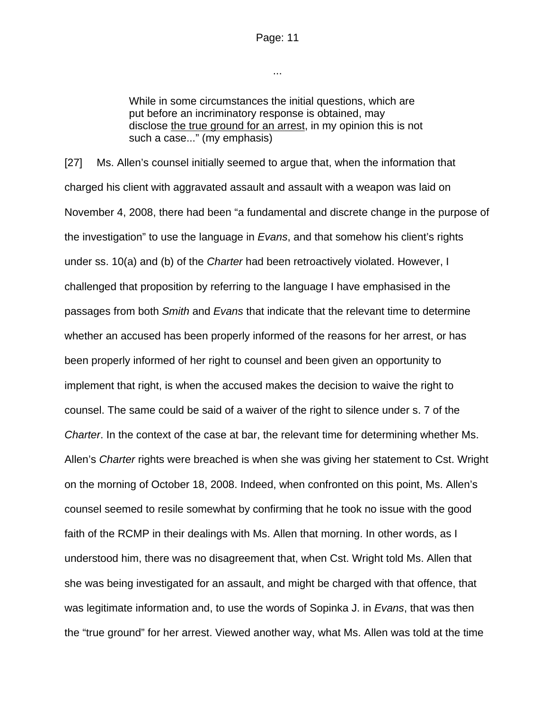...

While in some circumstances the initial questions, which are put before an incriminatory response is obtained, may disclose the true ground for an arrest, in my opinion this is not such a case..." (my emphasis)

[27] Ms. Allen's counsel initially seemed to argue that, when the information that charged his client with aggravated assault and assault with a weapon was laid on November 4, 2008, there had been "a fundamental and discrete change in the purpose of the investigation" to use the language in *Evans*, and that somehow his client's rights under ss. 10(a) and (b) of the *Charter* had been retroactively violated. However, I challenged that proposition by referring to the language I have emphasised in the passages from both *Smith* and *Evans* that indicate that the relevant time to determine whether an accused has been properly informed of the reasons for her arrest, or has been properly informed of her right to counsel and been given an opportunity to implement that right, is when the accused makes the decision to waive the right to counsel. The same could be said of a waiver of the right to silence under s. 7 of the *Charter*. In the context of the case at bar, the relevant time for determining whether Ms. Allen's *Charter* rights were breached is when she was giving her statement to Cst. Wright on the morning of October 18, 2008. Indeed, when confronted on this point, Ms. Allen's counsel seemed to resile somewhat by confirming that he took no issue with the good faith of the RCMP in their dealings with Ms. Allen that morning. In other words, as I understood him, there was no disagreement that, when Cst. Wright told Ms. Allen that she was being investigated for an assault, and might be charged with that offence, that was legitimate information and, to use the words of Sopinka J. in *Evans*, that was then the "true ground" for her arrest. Viewed another way, what Ms. Allen was told at the time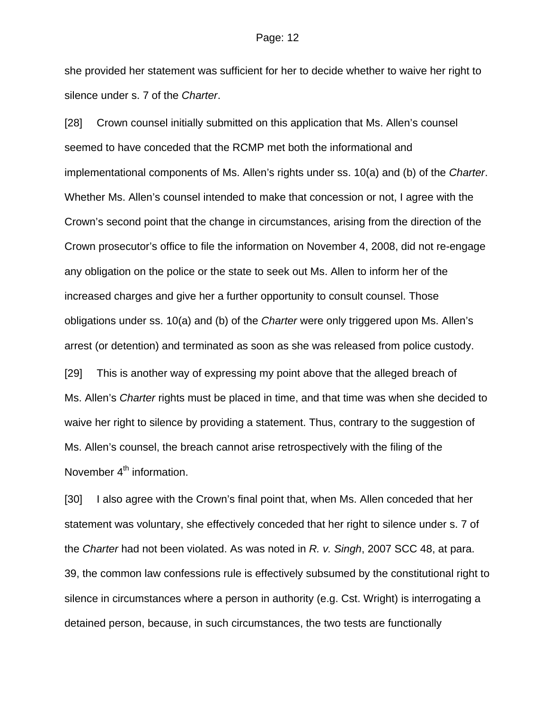she provided her statement was sufficient for her to decide whether to waive her right to silence under s. 7 of the *Charter*.

[28] Crown counsel initially submitted on this application that Ms. Allen's counsel seemed to have conceded that the RCMP met both the informational and implementational components of Ms. Allen's rights under ss. 10(a) and (b) of the *Charter*. Whether Ms. Allen's counsel intended to make that concession or not, I agree with the Crown's second point that the change in circumstances, arising from the direction of the Crown prosecutor's office to file the information on November 4, 2008, did not re-engage any obligation on the police or the state to seek out Ms. Allen to inform her of the increased charges and give her a further opportunity to consult counsel. Those obligations under ss. 10(a) and (b) of the *Charter* were only triggered upon Ms. Allen's arrest (or detention) and terminated as soon as she was released from police custody. [29] This is another way of expressing my point above that the alleged breach of

Ms. Allen's *Charter* rights must be placed in time, and that time was when she decided to waive her right to silence by providing a statement. Thus, contrary to the suggestion of Ms. Allen's counsel, the breach cannot arise retrospectively with the filing of the November 4<sup>th</sup> information.

[30] I also agree with the Crown's final point that, when Ms. Allen conceded that her statement was voluntary, she effectively conceded that her right to silence under s. 7 of the *Charter* had not been violated. As was noted in *R. v. Singh*, 2007 SCC 48, at para. 39, the common law confessions rule is effectively subsumed by the constitutional right to silence in circumstances where a person in authority (e.g. Cst. Wright) is interrogating a detained person, because, in such circumstances, the two tests are functionally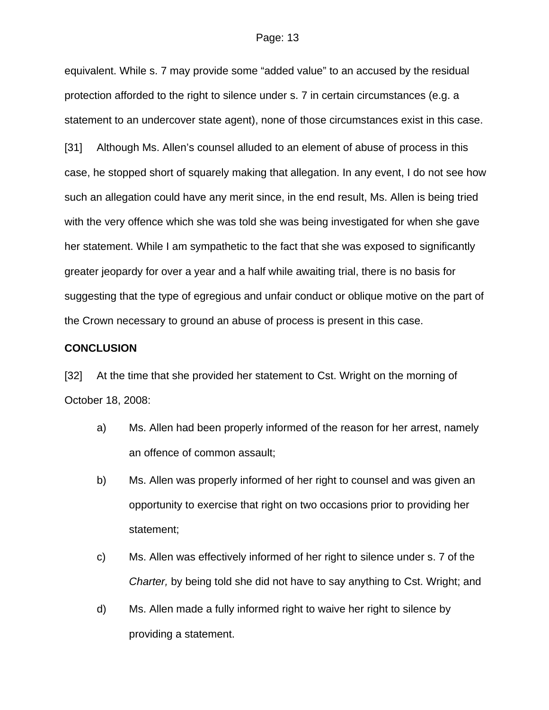equivalent. While s. 7 may provide some "added value" to an accused by the residual protection afforded to the right to silence under s. 7 in certain circumstances (e.g. a statement to an undercover state agent), none of those circumstances exist in this case.

[31] Although Ms. Allen's counsel alluded to an element of abuse of process in this case, he stopped short of squarely making that allegation. In any event, I do not see how such an allegation could have any merit since, in the end result, Ms. Allen is being tried with the very offence which she was told she was being investigated for when she gave her statement. While I am sympathetic to the fact that she was exposed to significantly greater jeopardy for over a year and a half while awaiting trial, there is no basis for suggesting that the type of egregious and unfair conduct or oblique motive on the part of the Crown necessary to ground an abuse of process is present in this case.

#### **CONCLUSION**

[32] At the time that she provided her statement to Cst. Wright on the morning of October 18, 2008:

- a) Ms. Allen had been properly informed of the reason for her arrest, namely an offence of common assault;
- b) Ms. Allen was properly informed of her right to counsel and was given an opportunity to exercise that right on two occasions prior to providing her statement;
- c) Ms. Allen was effectively informed of her right to silence under s. 7 of the *Charter,* by being told she did not have to say anything to Cst. Wright; and
- d) Ms. Allen made a fully informed right to waive her right to silence by providing a statement.